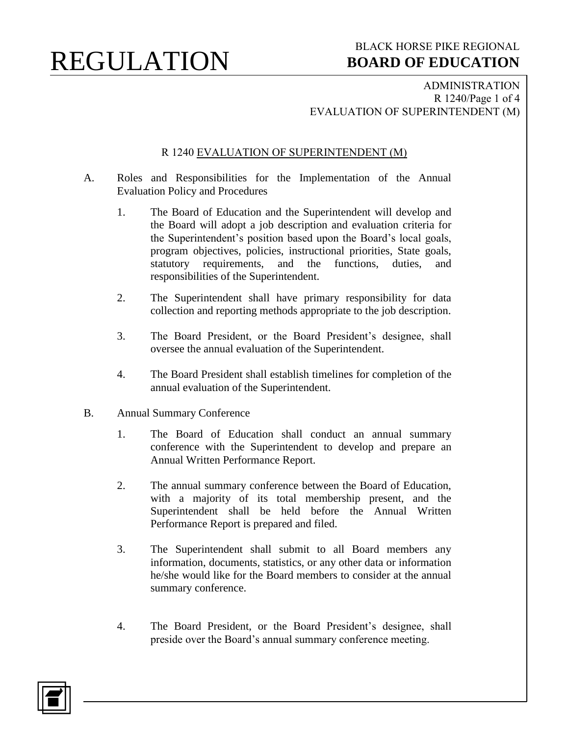ADMINISTRATION R 1240/Page 1 of 4 EVALUATION OF SUPERINTENDENT (M)

#### R 1240 EVALUATION OF SUPERINTENDENT (M)

- A. Roles and Responsibilities for the Implementation of the Annual Evaluation Policy and Procedures
	- 1. The Board of Education and the Superintendent will develop and the Board will adopt a job description and evaluation criteria for the Superintendent's position based upon the Board's local goals, program objectives, policies, instructional priorities, State goals, statutory requirements, and the functions, duties, and responsibilities of the Superintendent.
	- 2. The Superintendent shall have primary responsibility for data collection and reporting methods appropriate to the job description.
	- 3. The Board President, or the Board President's designee, shall oversee the annual evaluation of the Superintendent.
	- 4. The Board President shall establish timelines for completion of the annual evaluation of the Superintendent.
- B. Annual Summary Conference
	- 1. The Board of Education shall conduct an annual summary conference with the Superintendent to develop and prepare an Annual Written Performance Report.
	- 2. The annual summary conference between the Board of Education, with a majority of its total membership present, and the Superintendent shall be held before the Annual Written Performance Report is prepared and filed.
	- 3. The Superintendent shall submit to all Board members any information, documents, statistics, or any other data or information he/she would like for the Board members to consider at the annual summary conference.
	- 4. The Board President, or the Board President's designee, shall preside over the Board's annual summary conference meeting.

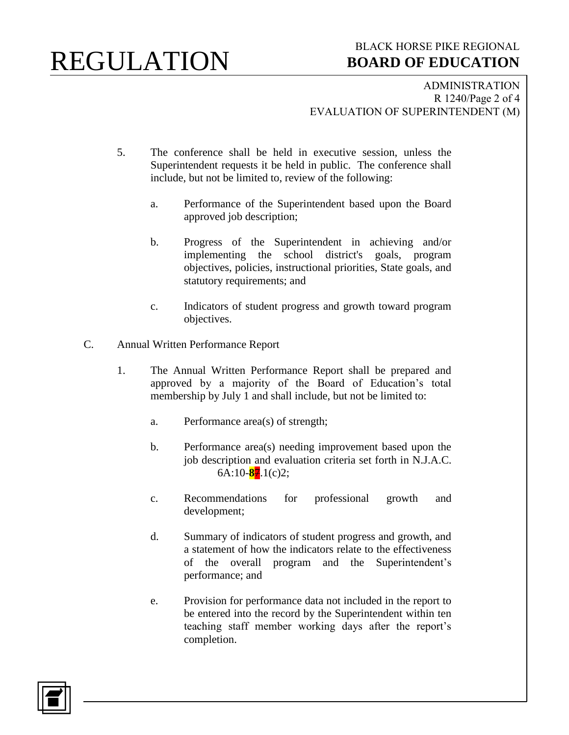### BLACK HORSE PIKE REGIONAL  **BOARD OF EDUCATION**

ADMINISTRATION R 1240/Page 2 of 4 EVALUATION OF SUPERINTENDENT (M)

- 5. The conference shall be held in executive session, unless the Superintendent requests it be held in public. The conference shall include, but not be limited to, review of the following:
	- a. Performance of the Superintendent based upon the Board approved job description;
	- b. Progress of the Superintendent in achieving and/or implementing the school district's goals, program objectives, policies, instructional priorities, State goals, and statutory requirements; and
	- c. Indicators of student progress and growth toward program objectives.
- C. Annual Written Performance Report
	- 1. The Annual Written Performance Report shall be prepared and approved by a majority of the Board of Education's total membership by July 1 and shall include, but not be limited to:
		- a. Performance area(s) of strength;
		- b. Performance area(s) needing improvement based upon the job description and evaluation criteria set forth in N.J.A.C. 6A:10-**8**7.1(c)2;
		- c. Recommendations for professional growth and development;
		- d. Summary of indicators of student progress and growth, and a statement of how the indicators relate to the effectiveness of the overall program and the Superintendent's performance; and
		- e. Provision for performance data not included in the report to be entered into the record by the Superintendent within ten teaching staff member working days after the report's completion.

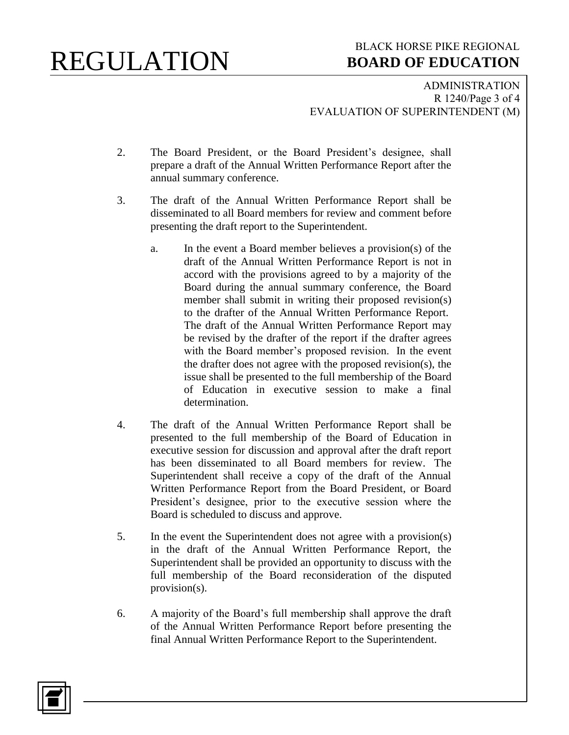### BLACK HORSE PIKE REGIONAL  **BOARD OF EDUCATION**

ADMINISTRATION R 1240/Page 3 of 4 EVALUATION OF SUPERINTENDENT (M)

- 2. The Board President, or the Board President's designee, shall prepare a draft of the Annual Written Performance Report after the annual summary conference.
- 3. The draft of the Annual Written Performance Report shall be disseminated to all Board members for review and comment before presenting the draft report to the Superintendent.
	- a. In the event a Board member believes a provision(s) of the draft of the Annual Written Performance Report is not in accord with the provisions agreed to by a majority of the Board during the annual summary conference, the Board member shall submit in writing their proposed revision(s) to the drafter of the Annual Written Performance Report. The draft of the Annual Written Performance Report may be revised by the drafter of the report if the drafter agrees with the Board member's proposed revision. In the event the drafter does not agree with the proposed revision(s), the issue shall be presented to the full membership of the Board of Education in executive session to make a final determination.
- 4. The draft of the Annual Written Performance Report shall be presented to the full membership of the Board of Education in executive session for discussion and approval after the draft report has been disseminated to all Board members for review. The Superintendent shall receive a copy of the draft of the Annual Written Performance Report from the Board President, or Board President's designee, prior to the executive session where the Board is scheduled to discuss and approve.
- 5. In the event the Superintendent does not agree with a provision(s) in the draft of the Annual Written Performance Report, the Superintendent shall be provided an opportunity to discuss with the full membership of the Board reconsideration of the disputed provision(s).
- 6. A majority of the Board's full membership shall approve the draft of the Annual Written Performance Report before presenting the final Annual Written Performance Report to the Superintendent.